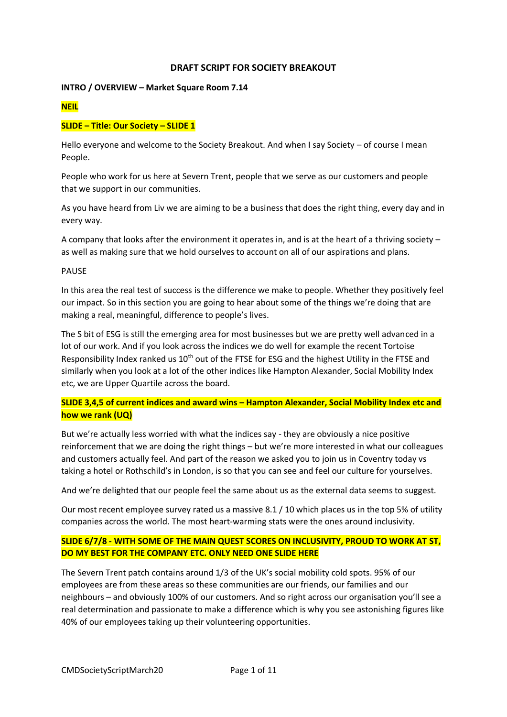## **DRAFT SCRIPT FOR SOCIETY BREAKOUT**

### **INTRO / OVERVIEW – Market Square Room 7.14**

## **NEIL**

### **SLIDE – Title: Our Society – SLIDE 1**

Hello everyone and welcome to the Society Breakout. And when I say Society – of course I mean People.

People who work for us here at Severn Trent, people that we serve as our customers and people that we support in our communities.

As you have heard from Liv we are aiming to be a business that does the right thing, every day and in every way.

A company that looks after the environment it operates in, and is at the heart of a thriving society – as well as making sure that we hold ourselves to account on all of our aspirations and plans.

#### PAUSE

In this area the real test of success is the difference we make to people. Whether they positively feel our impact. So in this section you are going to hear about some of the things we're doing that are making a real, meaningful, difference to people's lives.

The S bit of ESG is still the emerging area for most businesses but we are pretty well advanced in a lot of our work. And if you look across the indices we do well for example the recent Tortoise Responsibility Index ranked us 10<sup>th</sup> out of the FTSE for ESG and the highest Utility in the FTSE and similarly when you look at a lot of the other indices like Hampton Alexander, Social Mobility Index etc, we are Upper Quartile across the board.

# **SLIDE 3,4,5 of current indices and award wins – Hampton Alexander, Social Mobility Index etc and how we rank (UQ)**

But we're actually less worried with what the indices say - they are obviously a nice positive reinforcement that we are doing the right things – but we're more interested in what our colleagues and customers actually feel. And part of the reason we asked you to join us in Coventry today vs taking a hotel or Rothschild's in London, is so that you can see and feel our culture for yourselves.

And we're delighted that our people feel the same about us as the external data seems to suggest.

Our most recent employee survey rated us a massive 8.1 / 10 which places us in the top 5% of utility companies across the world. The most heart-warming stats were the ones around inclusivity.

## **SLIDE 6/7/8 - WITH SOME OF THE MAIN QUEST SCORES ON INCLUSIVITY, PROUD TO WORK AT ST, DO MY BEST FOR THE COMPANY ETC. ONLY NEED ONE SLIDE HERE**

The Severn Trent patch contains around 1/3 of the UK's social mobility cold spots. 95% of our employees are from these areas so these communities are our friends, our families and our neighbours – and obviously 100% of our customers. And so right across our organisation you'll see a real determination and passionate to make a difference which is why you see astonishing figures like 40% of our employees taking up their volunteering opportunities.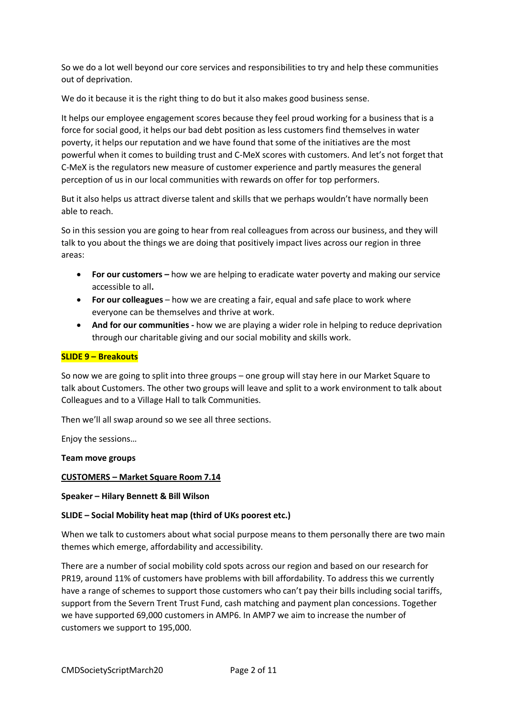So we do a lot well beyond our core services and responsibilities to try and help these communities out of deprivation.

We do it because it is the right thing to do but it also makes good business sense.

It helps our employee engagement scores because they feel proud working for a business that is a force for social good, it helps our bad debt position as less customers find themselves in water poverty, it helps our reputation and we have found that some of the initiatives are the most powerful when it comes to building trust and C-MeX scores with customers. And let's not forget that C-MeX is the regulators new measure of customer experience and partly measures the general perception of us in our local communities with rewards on offer for top performers.

But it also helps us attract diverse talent and skills that we perhaps wouldn't have normally been able to reach.

So in this session you are going to hear from real colleagues from across our business, and they will talk to you about the things we are doing that positively impact lives across our region in three areas:

- **For our customers –** how we are helping to eradicate water poverty and making our service accessible to all**.**
- **For our colleagues** how we are creating a fair, equal and safe place to work where everyone can be themselves and thrive at work.
- **And for our communities -** how we are playing a wider role in helping to reduce deprivation through our charitable giving and our social mobility and skills work.

### **SLIDE 9 – Breakouts**

So now we are going to split into three groups – one group will stay here in our Market Square to talk about Customers. The other two groups will leave and split to a work environment to talk about Colleagues and to a Village Hall to talk Communities.

Then we'll all swap around so we see all three sections.

Enjoy the sessions…

#### **Team move groups**

#### **CUSTOMERS – Market Square Room 7.14**

#### **Speaker – Hilary Bennett & Bill Wilson**

### **SLIDE – Social Mobility heat map (third of UKs poorest etc.)**

When we talk to customers about what social purpose means to them personally there are two main themes which emerge, affordability and accessibility.

There are a number of social mobility cold spots across our region and based on our research for PR19, around 11% of customers have problems with bill affordability. To address this we currently have a range of schemes to support those customers who can't pay their bills including social tariffs, support from the Severn Trent Trust Fund, cash matching and payment plan concessions. Together we have supported 69,000 customers in AMP6. In AMP7 we aim to increase the number of customers we support to 195,000.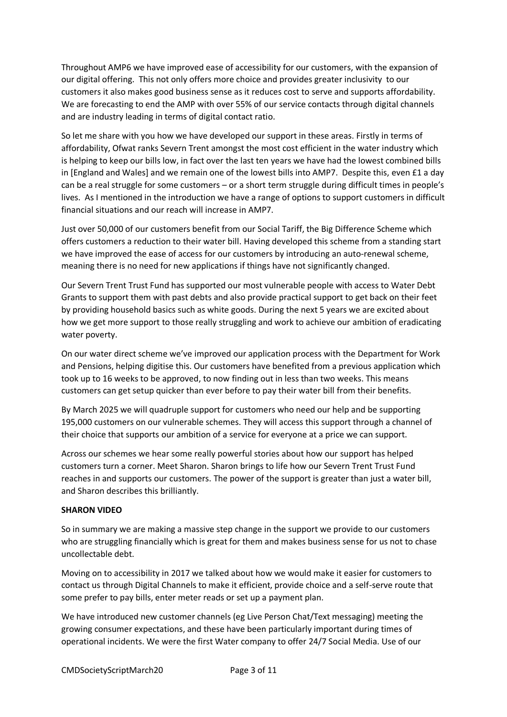Throughout AMP6 we have improved ease of accessibility for our customers, with the expansion of our digital offering. This not only offers more choice and provides greater inclusivity to our customers it also makes good business sense as it reduces cost to serve and supports affordability. We are forecasting to end the AMP with over 55% of our service contacts through digital channels and are industry leading in terms of digital contact ratio.

So let me share with you how we have developed our support in these areas. Firstly in terms of affordability, Ofwat ranks Severn Trent amongst the most cost efficient in the water industry which is helping to keep our bills low, in fact over the last ten years we have had the lowest combined bills in [England and Wales] and we remain one of the lowest bills into AMP7. Despite this, even £1 a day can be a real struggle for some customers – or a short term struggle during difficult times in people's lives. As I mentioned in the introduction we have a range of options to support customers in difficult financial situations and our reach will increase in AMP7.

Just over 50,000 of our customers benefit from our Social Tariff, the Big Difference Scheme which offers customers a reduction to their water bill. Having developed this scheme from a standing start we have improved the ease of access for our customers by introducing an auto-renewal scheme, meaning there is no need for new applications if things have not significantly changed.

Our Severn Trent Trust Fund has supported our most vulnerable people with access to Water Debt Grants to support them with past debts and also provide practical support to get back on their feet by providing household basics such as white goods. During the next 5 years we are excited about how we get more support to those really struggling and work to achieve our ambition of eradicating water poverty.

On our water direct scheme we've improved our application process with the Department for Work and Pensions, helping digitise this. Our customers have benefited from a previous application which took up to 16 weeks to be approved, to now finding out in less than two weeks. This means customers can get setup quicker than ever before to pay their water bill from their benefits.

By March 2025 we will quadruple support for customers who need our help and be supporting 195,000 customers on our vulnerable schemes. They will access this support through a channel of their choice that supports our ambition of a service for everyone at a price we can support.

Across our schemes we hear some really powerful stories about how our support has helped customers turn a corner. Meet Sharon. Sharon brings to life how our Severn Trent Trust Fund reaches in and supports our customers. The power of the support is greater than just a water bill, and Sharon describes this brilliantly.

### **SHARON VIDEO**

So in summary we are making a massive step change in the support we provide to our customers who are struggling financially which is great for them and makes business sense for us not to chase uncollectable debt.

Moving on to accessibility in 2017 we talked about how we would make it easier for customers to contact us through Digital Channels to make it efficient, provide choice and a self-serve route that some prefer to pay bills, enter meter reads or set up a payment plan.

We have introduced new customer channels (eg Live Person Chat/Text messaging) meeting the growing consumer expectations, and these have been particularly important during times of operational incidents. We were the first Water company to offer 24/7 Social Media. Use of our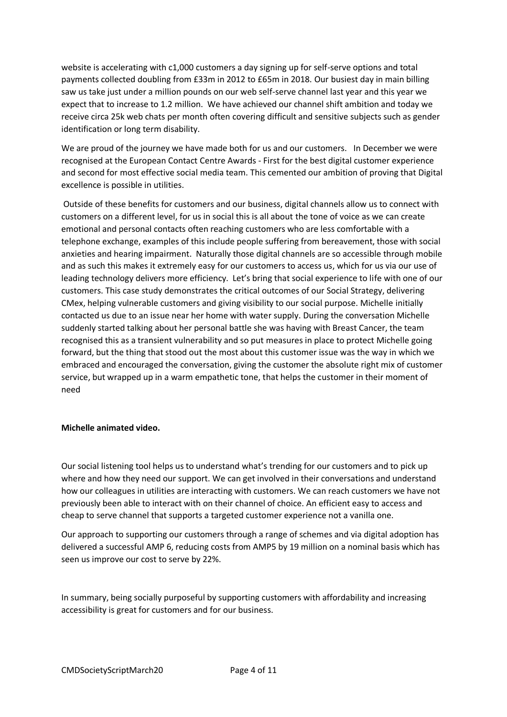website is accelerating with c1,000 customers a day signing up for self-serve options and total payments collected doubling from £33m in 2012 to £65m in 2018. Our busiest day in main billing saw us take just under a million pounds on our web self-serve channel last year and this year we expect that to increase to 1.2 million. We have achieved our channel shift ambition and today we receive circa 25k web chats per month often covering difficult and sensitive subjects such as gender identification or long term disability.

We are proud of the journey we have made both for us and our customers. In December we were recognised at the European Contact Centre Awards - First for the best digital customer experience and second for most effective social media team. This cemented our ambition of proving that Digital excellence is possible in utilities.

Outside of these benefits for customers and our business, digital channels allow us to connect with customers on a different level, for us in social this is all about the tone of voice as we can create emotional and personal contacts often reaching customers who are less comfortable with a telephone exchange, examples of this include people suffering from bereavement, those with social anxieties and hearing impairment. Naturally those digital channels are so accessible through mobile and as such this makes it extremely easy for our customers to access us, which for us via our use of leading technology delivers more efficiency. Let's bring that social experience to life with one of our customers. This case study demonstrates the critical outcomes of our Social Strategy, delivering CMex, helping vulnerable customers and giving visibility to our social purpose. Michelle initially contacted us due to an issue near her home with water supply. During the conversation Michelle suddenly started talking about her personal battle she was having with Breast Cancer, the team recognised this as a transient vulnerability and so put measures in place to protect Michelle going forward, but the thing that stood out the most about this customer issue was the way in which we embraced and encouraged the conversation, giving the customer the absolute right mix of customer service, but wrapped up in a warm empathetic tone, that helps the customer in their moment of need

### **Michelle animated video.**

Our social listening tool helps us to understand what's trending for our customers and to pick up where and how they need our support. We can get involved in their conversations and understand how our colleagues in utilities are interacting with customers. We can reach customers we have not previously been able to interact with on their channel of choice. An efficient easy to access and cheap to serve channel that supports a targeted customer experience not a vanilla one.

Our approach to supporting our customers through a range of schemes and via digital adoption has delivered a successful AMP 6, reducing costs from AMP5 by 19 million on a nominal basis which has seen us improve our cost to serve by 22%.

In summary, being socially purposeful by supporting customers with affordability and increasing accessibility is great for customers and for our business.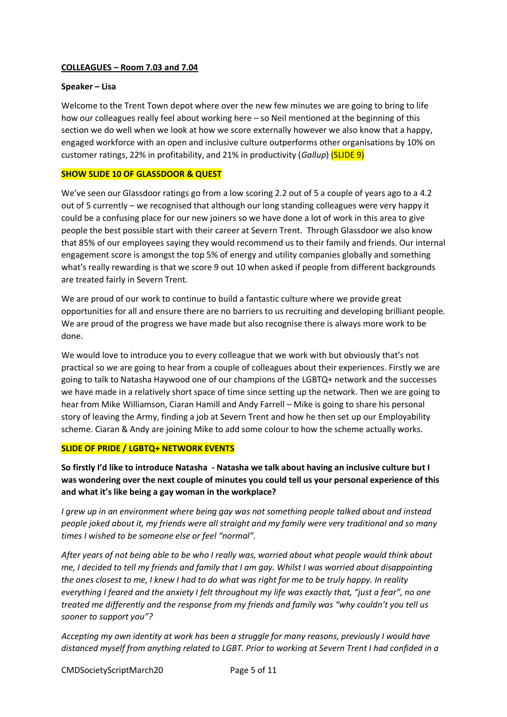## **COLLEAGUES – Room 7.03 and 7.04**

#### **Speaker – Lisa**

Welcome to the Trent Town depot where over the new few minutes we are going to bring to life how our colleagues really feel about working here – so Neil mentioned at the beginning of this section we do well when we look at how we score externally however we also know that a happy, engaged workforce with an open and inclusive culture outperforms other organisations by 10% on customer ratings, 22% in profitability, and 21% in productivity (*Gallup*) (SLIDE 9)

### **SHOW SLIDE 10 OF GLASSDOOR & QUEST**

We've seen our Glassdoor ratings go from a low scoring 2.2 out of 5 a couple of years ago to a 4.2 out of 5 currently – we recognised that although our long standing colleagues were very happy it could be a confusing place for our new joiners so we have done a lot of work in this area to give people the best possible start with their career at Severn Trent. Through Glassdoor we also know that 85% of our employees saying they would recommend us to their family and friends. Our internal engagement score is amongst the top 5% of energy and utility companies globally and something what's really rewarding is that we score 9 out 10 when asked if people from different backgrounds are treated fairly in Severn Trent.

We are proud of our work to continue to build a fantastic culture where we provide great opportunities for all and ensure there are no barriers to us recruiting and developing brilliant people. We are proud of the progress we have made but also recognise there is always more work to be done.

We would love to introduce you to every colleague that we work with but obviously that's not practical so we are going to hear from a couple of colleagues about their experiences. Firstly we are going to talk to Natasha Haywood one of our champions of the LGBTQ+ network and the successes we have made in a relatively short space of time since setting up the network. Then we are going to hear from Mike Williamson, Ciaran Hamill and Andy Farrell – Mike is going to share his personal story of leaving the Army, finding a job at Severn Trent and how he then set up our Employability scheme. Ciaran & Andy are joining Mike to add some colour to how the scheme actually works.

### **SLIDE OF PRIDE / LGBTQ+ NETWORK EVENTS**

**So firstly I'd like to introduce Natasha - Natasha we talk about having an inclusive culture but I was wondering over the next couple of minutes you could tell us your personal experience of this and what it's like being a gay woman in the workplace?** 

*I grew up in an environment where being gay was not something people talked about and instead people joked about it, my friends were all straight and my family were very traditional and so many times I wished to be someone else or feel "normal".* 

*After years of not being able to be who I really was, worried about what people would think about me, I decided to tell my friends and family that I am gay. Whilst I was worried about disappointing the ones closest to me, I knew I had to do what was right for me to be truly happy. In reality everything I feared and the anxiety I felt throughout my life was exactly that, "just a fear", no one treated me differently and the response from my friends and family was "why couldn't you tell us sooner to support you"?*

*Accepting my own identity at work has been a struggle for many reasons, previously I would have distanced myself from anything related to LGBT. Prior to working at Severn Trent I had confided in a* 

CMDSocietyScriptMarch20 Page 5 of 11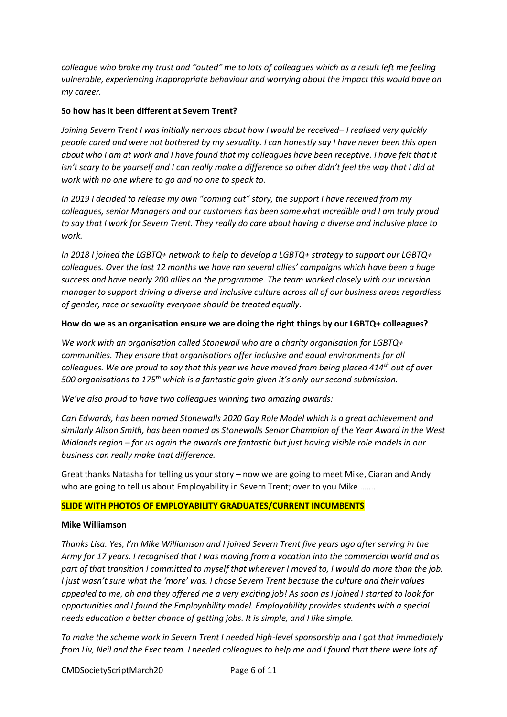*colleague who broke my trust and "outed" me to lots of colleagues which as a result left me feeling vulnerable, experiencing inappropriate behaviour and worrying about the impact this would have on my career.* 

## **So how has it been different at Severn Trent?**

*Joining Severn Trent I was initially nervous about how I would be received– I realised very quickly people cared and were not bothered by my sexuality. I can honestly say I have never been this open about who I am at work and I have found that my colleagues have been receptive. I have felt that it isn't scary to be yourself and I can really make a difference so other didn't feel the way that I did at work with no one where to go and no one to speak to.* 

*In 2019 I decided to release my own "coming out" story, the support I have received from my colleagues, senior Managers and our customers has been somewhat incredible and I am truly proud to say that I work for Severn Trent. They really do care about having a diverse and inclusive place to work.*

*In 2018 I joined the LGBTQ+ network to help to develop a LGBTQ+ strategy to support our LGBTQ+ colleagues. Over the last 12 months we have ran several allies' campaigns which have been a huge success and have nearly 200 allies on the programme. The team worked closely with our Inclusion manager to support driving a diverse and inclusive culture across all of our business areas regardless of gender, race or sexuality everyone should be treated equally.*

## **How do we as an organisation ensure we are doing the right things by our LGBTQ+ colleagues?**

*We work with an organisation called Stonewall who are a charity organisation for LGBTQ+ communities. They ensure that organisations offer inclusive and equal environments for all colleagues. We are proud to say that this year we have moved from being placed 414th out of over 500 organisations to 175th which is a fantastic gain given it's only our second submission.* 

*We've also proud to have two colleagues winning two amazing awards:*

*Carl Edwards, has been named Stonewalls 2020 Gay Role Model which is a great achievement and similarly Alison Smith, has been named as Stonewalls Senior Champion of the Year Award in the West Midlands region – for us again the awards are fantastic but just having visible role models in our business can really make that difference.*

Great thanks Natasha for telling us your story – now we are going to meet Mike, Ciaran and Andy who are going to tell us about Employability in Severn Trent; over to you Mike........

### **SLIDE WITH PHOTOS OF EMPLOYABILITY GRADUATES/CURRENT INCUMBENTS**

### **Mike Williamson**

*Thanks Lisa. Yes, I'm Mike Williamson and I joined Severn Trent five years ago after serving in the Army for 17 years. I recognised that I was moving from a vocation into the commercial world and as part of that transition I committed to myself that wherever I moved to, I would do more than the job. I just wasn't sure what the 'more' was. I chose Severn Trent because the culture and their values appealed to me, oh and they offered me a very exciting job! As soon as I joined I started to look for opportunities and I found the Employability model. Employability provides students with a special needs education a better chance of getting jobs. It is simple, and I like simple.* 

To make the scheme work in Severn Trent I needed high-level sponsorship and I got that *immediately from Liv, Neil and the Exec team. I needed colleagues to help me and I found that there were lots of* 

CMDSocietyScriptMarch20 Page 6 of 11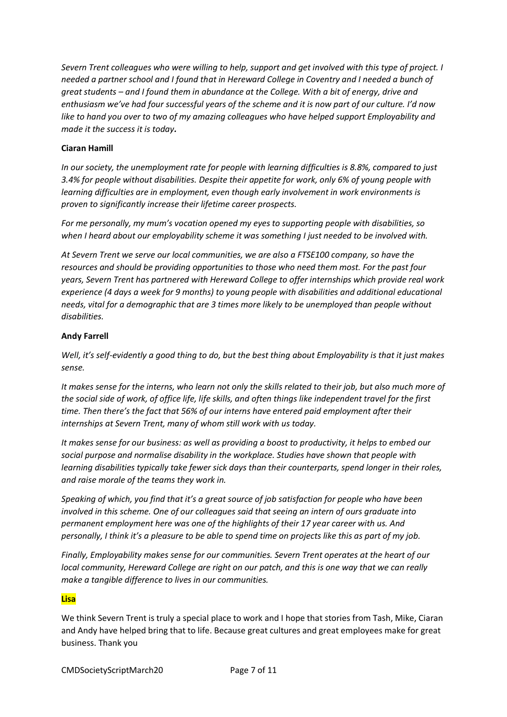*Severn Trent colleagues who were willing to help, support and get involved with this type of project. I needed a partner school and I found that in Hereward College in Coventry and I needed a bunch of great students – and I found them in abundance at the College. With a bit of energy, drive and enthusiasm we've had four successful years of the scheme and it is now part of our culture. I'd now like to hand you over to two of my amazing colleagues who have helped support Employability and made it the success it is today.*

## **Ciaran Hamill**

*In our society, the unemployment rate for people with learning difficulties is 8.8%, compared to just 3.4% for people without disabilities. Despite their appetite for work, only 6% of young people with learning difficulties are in employment, even though early involvement in work environments is proven to significantly increase their lifetime career prospects.* 

*For me personally, my mum's vocation opened my eyes to supporting people with disabilities, so when I heard about our employability scheme it was something I just needed to be involved with.*

*At Severn Trent we serve our local communities, we are also a FTSE100 company, so have the resources and should be providing opportunities to those who need them most. For the past four years, Severn Trent has partnered with Hereward College to offer internships which provide real work experience (4 days a week for 9 months) to young people with disabilities and additional educational needs, vital for a demographic that are 3 times more likely to be unemployed than people without disabilities.*

## **Andy Farrell**

*Well, it's self-evidently a good thing to do, but the best thing about Employability is that it just makes sense.*

*It makes sense for the interns, who learn not only the skills related to their job, but also much more of the social side of work, of office life, life skills, and often things like independent travel for the first time. Then there's the fact that 56% of our interns have entered paid employment after their internships at Severn Trent, many of whom still work with us today.*

*It makes sense for our business: as well as providing a boost to productivity, it helps to embed our social purpose and normalise disability in the workplace. Studies have shown that people with learning disabilities typically take fewer sick days than their counterparts, spend longer in their roles, and raise morale of the teams they work in.*

*Speaking of which, you find that it's a great source of job satisfaction for people who have been involved in this scheme. One of our colleagues said that seeing an intern of ours graduate into permanent employment here was one of the highlights of their 17 year career with us. And personally, I think it's a pleasure to be able to spend time on projects like this as part of my job.*

*Finally, Employability makes sense for our communities. Severn Trent operates at the heart of our local community, Hereward College are right on our patch, and this is one way that we can really make a tangible difference to lives in our communities.*

### **Lisa**

We think Severn Trent is truly a special place to work and I hope that stories from Tash, Mike, Ciaran and Andy have helped bring that to life. Because great cultures and great employees make for great business. Thank you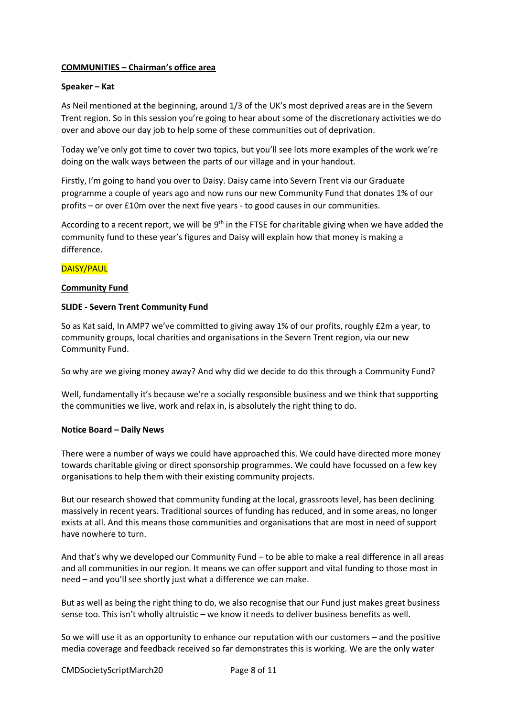## **COMMUNITIES – Chairman's office area**

### **Speaker – Kat**

As Neil mentioned at the beginning, around 1/3 of the UK's most deprived areas are in the Severn Trent region. So in this session you're going to hear about some of the discretionary activities we do over and above our day job to help some of these communities out of deprivation.

Today we've only got time to cover two topics, but you'll see lots more examples of the work we're doing on the walk ways between the parts of our village and in your handout.

Firstly, I'm going to hand you over to Daisy. Daisy came into Severn Trent via our Graduate programme a couple of years ago and now runs our new Community Fund that donates 1% of our profits – or over £10m over the next five years - to good causes in our communities.

According to a recent report, we will be 9<sup>th</sup> in the FTSE for charitable giving when we have added the community fund to these year's figures and Daisy will explain how that money is making a difference.

#### DAISY/PAUL

#### **Community Fund**

#### **SLIDE - Severn Trent Community Fund**

So as Kat said, In AMP7 we've committed to giving away 1% of our profits, roughly £2m a year, to community groups, local charities and organisations in the Severn Trent region, via our new Community Fund.

So why are we giving money away? And why did we decide to do this through a Community Fund?

Well, fundamentally it's because we're a socially responsible business and we think that supporting the communities we live, work and relax in, is absolutely the right thing to do.

### **Notice Board – Daily News**

There were a number of ways we could have approached this. We could have directed more money towards charitable giving or direct sponsorship programmes. We could have focussed on a few key organisations to help them with their existing community projects.

But our research showed that community funding at the local, grassroots level, has been declining massively in recent years. Traditional sources of funding has reduced, and in some areas, no longer exists at all. And this means those communities and organisations that are most in need of support have nowhere to turn.

And that's why we developed our Community Fund – to be able to make a real difference in all areas and all communities in our region. It means we can offer support and vital funding to those most in need – and you'll see shortly just what a difference we can make.

But as well as being the right thing to do, we also recognise that our Fund just makes great business sense too. This isn't wholly altruistic – we know it needs to deliver business benefits as well.

So we will use it as an opportunity to enhance our reputation with our customers – and the positive media coverage and feedback received so far demonstrates this is working. We are the only water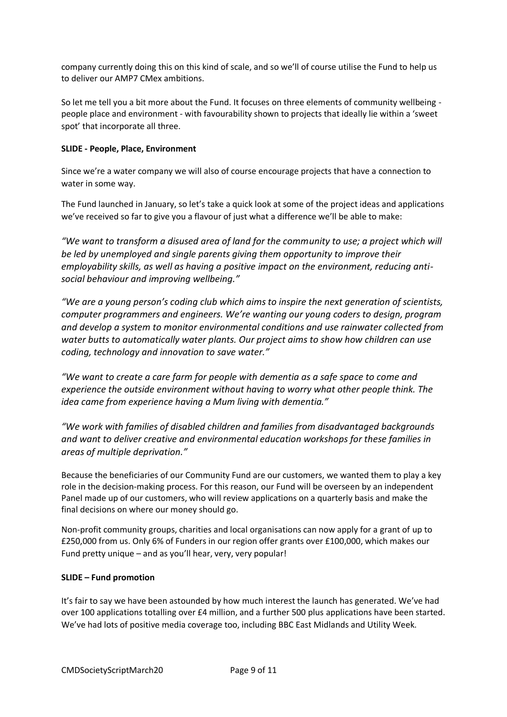company currently doing this on this kind of scale, and so we'll of course utilise the Fund to help us to deliver our AMP7 CMex ambitions.

So let me tell you a bit more about the Fund. It focuses on three elements of community wellbeing people place and environment - with favourability shown to projects that ideally lie within a 'sweet spot' that incorporate all three.

## **SLIDE - People, Place, Environment**

Since we're a water company we will also of course encourage projects that have a connection to water in some way.

The Fund launched in January, so let's take a quick look at some of the project ideas and applications we've received so far to give you a flavour of just what a difference we'll be able to make:

*"We want to transform a disused area of land for the community to use; a project which will be led by unemployed and single parents giving them opportunity to improve their employability skills, as well as having a positive impact on the environment, reducing antisocial behaviour and improving wellbeing."*

*"We are a young person's coding club which aims to inspire the next generation of scientists, computer programmers and engineers. We're wanting our young coders to design, program and develop a system to monitor environmental conditions and use rainwater collected from water butts to automatically water plants. Our project aims to show how children can use coding, technology and innovation to save water."*

*"We want to create a care farm for people with dementia as a safe space to come and experience the outside environment without having to worry what other people think. The idea came from experience having a Mum living with dementia."*

*"We work with families of disabled children and families from disadvantaged backgrounds and want to deliver creative and environmental education workshops for these families in areas of multiple deprivation."*

Because the beneficiaries of our Community Fund are our customers, we wanted them to play a key role in the decision-making process. For this reason, our Fund will be overseen by an independent Panel made up of our customers, who will review applications on a quarterly basis and make the final decisions on where our money should go.

Non-profit community groups, charities and local organisations can now apply for a grant of up to £250,000 from us. Only 6% of Funders in our region offer grants over £100,000, which makes our Fund pretty unique – and as you'll hear, very, very popular!

### **SLIDE – Fund promotion**

It's fair to say we have been astounded by how much interest the launch has generated. We've had over 100 applications totalling over £4 million, and a further 500 plus applications have been started. We've had lots of positive media coverage too, including BBC East Midlands and Utility Week.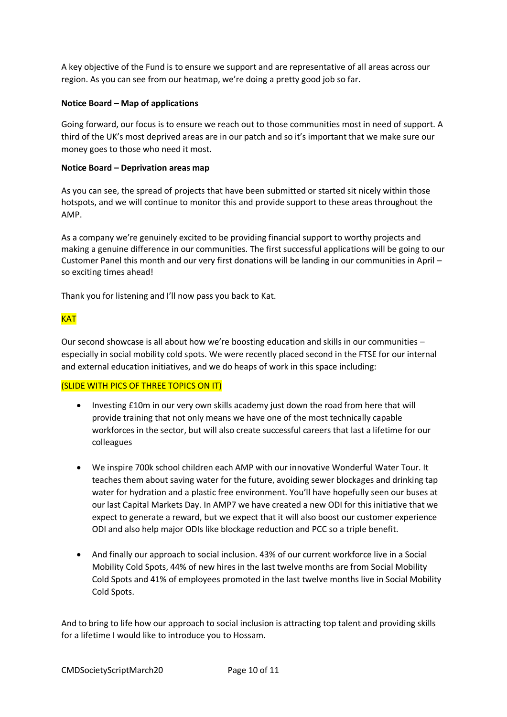A key objective of the Fund is to ensure we support and are representative of all areas across our region. As you can see from our heatmap, we're doing a pretty good job so far.

## **Notice Board – Map of applications**

Going forward, our focus is to ensure we reach out to those communities most in need of support. A third of the UK's most deprived areas are in our patch and so it's important that we make sure our money goes to those who need it most.

### **Notice Board – Deprivation areas map**

As you can see, the spread of projects that have been submitted or started sit nicely within those hotspots, and we will continue to monitor this and provide support to these areas throughout the AMP.

As a company we're genuinely excited to be providing financial support to worthy projects and making a genuine difference in our communities. The first successful applications will be going to our Customer Panel this month and our very first donations will be landing in our communities in April – so exciting times ahead!

Thank you for listening and I'll now pass you back to Kat.

# **KAT**

Our second showcase is all about how we're boosting education and skills in our communities – especially in social mobility cold spots. We were recently placed second in the FTSE for our internal and external education initiatives, and we do heaps of work in this space including:

## (SLIDE WITH PICS OF THREE TOPICS ON IT)

- Investing £10m in our very own skills academy just down the road from here that will provide training that not only means we have one of the most technically capable workforces in the sector, but will also create successful careers that last a lifetime for our colleagues
- We inspire 700k school children each AMP with our innovative Wonderful Water Tour. It teaches them about saving water for the future, avoiding sewer blockages and drinking tap water for hydration and a plastic free environment. You'll have hopefully seen our buses at our last Capital Markets Day. In AMP7 we have created a new ODI for this initiative that we expect to generate a reward, but we expect that it will also boost our customer experience ODI and also help major ODIs like blockage reduction and PCC so a triple benefit.
- And finally our approach to social inclusion. 43% of our current workforce live in a Social Mobility Cold Spots, 44% of new hires in the last twelve months are from Social Mobility Cold Spots and 41% of employees promoted in the last twelve months live in Social Mobility Cold Spots.

And to bring to life how our approach to social inclusion is attracting top talent and providing skills for a lifetime I would like to introduce you to Hossam.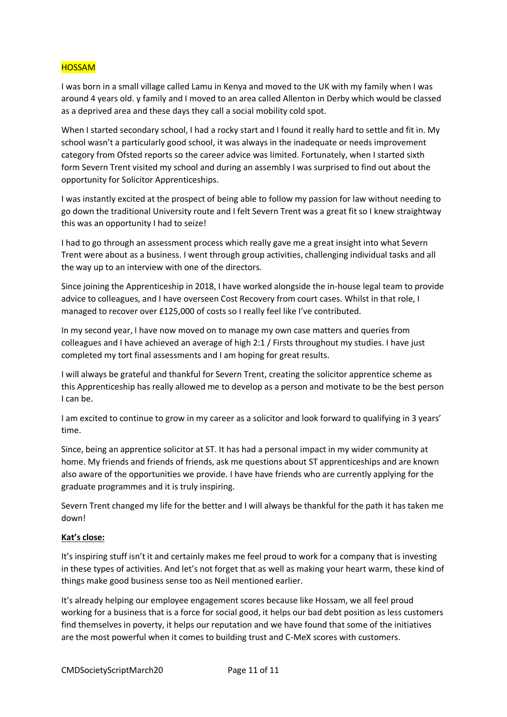### HOSSAM

I was born in a small village called Lamu in Kenya and moved to the UK with my family when I was around 4 years old. y family and I moved to an area called Allenton in Derby which would be classed as a deprived area and these days they call a social mobility cold spot.

When I started secondary school, I had a rocky start and I found it really hard to settle and fit in. My school wasn't a particularly good school, it was always in the inadequate or needs improvement category from Ofsted reports so the career advice was limited. Fortunately, when I started sixth form Severn Trent visited my school and during an assembly I was surprised to find out about the opportunity for Solicitor Apprenticeships.

I was instantly excited at the prospect of being able to follow my passion for law without needing to go down the traditional University route and I felt Severn Trent was a great fit so I knew straightway this was an opportunity I had to seize!

I had to go through an assessment process which really gave me a great insight into what Severn Trent were about as a business. I went through group activities, challenging individual tasks and all the way up to an interview with one of the directors.

Since joining the Apprenticeship in 2018, I have worked alongside the in-house legal team to provide advice to colleagues, and I have overseen Cost Recovery from court cases. Whilst in that role, I managed to recover over £125,000 of costs so I really feel like I've contributed.

In my second year, I have now moved on to manage my own case matters and queries from colleagues and I have achieved an average of high 2:1 / Firsts throughout my studies. I have just completed my tort final assessments and I am hoping for great results.

I will always be grateful and thankful for Severn Trent, creating the solicitor apprentice scheme as this Apprenticeship has really allowed me to develop as a person and motivate to be the best person I can be.

I am excited to continue to grow in my career as a solicitor and look forward to qualifying in 3 years' time.

Since, being an apprentice solicitor at ST. It has had a personal impact in my wider community at home. My friends and friends of friends, ask me questions about ST apprenticeships and are known also aware of the opportunities we provide. I have have friends who are currently applying for the graduate programmes and it is truly inspiring.

Severn Trent changed my life for the better and I will always be thankful for the path it has taken me down!

### **Kat's close:**

It's inspiring stuff isn't it and certainly makes me feel proud to work for a company that is investing in these types of activities. And let's not forget that as well as making your heart warm, these kind of things make good business sense too as Neil mentioned earlier.

It's already helping our employee engagement scores because like Hossam, we all feel proud working for a business that is a force for social good, it helps our bad debt position as less customers find themselves in poverty, it helps our reputation and we have found that some of the initiatives are the most powerful when it comes to building trust and C-MeX scores with customers.